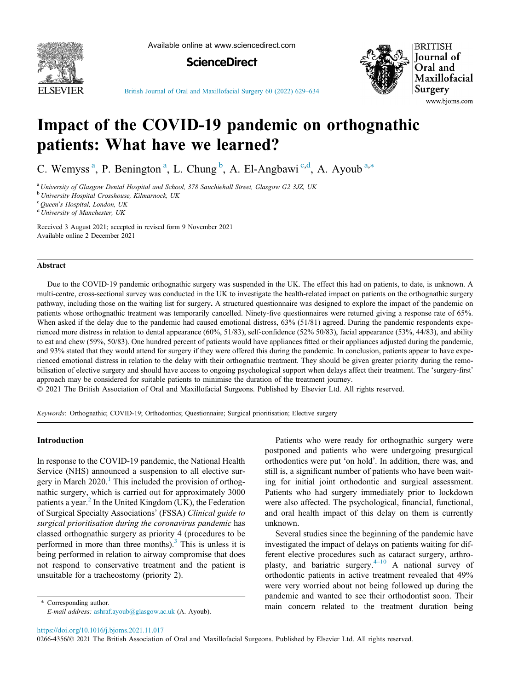

Available online at www.sciencedirect.com





[British Journal of Oral and Maxillofacial Surgery 60 \(2022\) 629](https://doi.org/10.1016/j.bjoms.2021.11.017)–634

# Impact of the COVID-19 pandemic on orthognathic patients: What have we learned?

C. Wemyss<sup>a</sup>, P. Benington<sup>a</sup>, L. Chung<sup>b</sup>, A. El-Angbawi<sup>c,d</sup>, A. Ayoub<sup>a,\*</sup>

<sup>a</sup> University of Glasgow Dental Hospital and School, 378 Sauchiehall Street, Glasgow G2 3JZ, UK

<sup>b</sup> University Hospital Crosshouse, Kilmarnock, UK

<sup>c</sup> Queen's Hospital, London, UK

 $\rm^d$  University of Manchester, UK

Received 3 August 2021; accepted in revised form 9 November 2021 Available online 2 December 2021

#### Abstract

Due to the COVID-19 pandemic orthognathic surgery was suspended in the UK. The effect this had on patients, to date, is unknown. A multi-centre, cross-sectional survey was conducted in the UK to investigate the health-related impact on patients on the orthognathic surgery pathway, including those on the waiting list for surgery. A structured questionnaire was designed to explore the impact of the pandemic on patients whose orthognathic treatment was temporarily cancelled. Ninety-five questionnaires were returned giving a response rate of 65%. When asked if the delay due to the pandemic had caused emotional distress, 63% (51/81) agreed. During the pandemic respondents experienced more distress in relation to dental appearance (60%, 51/83), self-confidence (52% 50/83), facial appearance (53%, 44/83), and ability to eat and chew (59%, 50/83). One hundred percent of patients would have appliances fitted or their appliances adjusted during the pandemic, and 93% stated that they would attend for surgery if they were offered this during the pandemic. In conclusion, patients appear to have experienced emotional distress in relation to the delay with their orthognathic treatment. They should be given greater priority during the remobilisation of elective surgery and should have access to ongoing psychological support when delays affect their treatment. The 'surgery-first' approach may be considered for suitable patients to minimise the duration of the treatment journey.

2021 The British Association of Oral and Maxillofacial Surgeons. Published by Elsevier Ltd. All rights reserved.

Keywords: Orthognathic; COVID-19; Orthodontics; Questionnaire; Surgical prioritisation; Elective surgery

#### Introduction

In response to the COVID-19 pandemic, the National Health Service (NHS) announced a suspension to all elective surgery in March  $2020$ .<sup>[1](#page-4-0)</sup> This included the provision of orthognathic surgery, which is carried out for approximately 3000 patients a year. $<sup>2</sup>$  $<sup>2</sup>$  $<sup>2</sup>$  In the United Kingdom (UK), the Federation</sup> of Surgical Specialty Associations' (FSSA) Clinical guide to surgical prioritisation during the coronavirus pandemic has classed orthognathic surgery as priority 4 (procedures to be performed in more than three months). $3$  This is unless it is being performed in relation to airway compromise that does not respond to conservative treatment and the patient is unsuitable for a tracheostomy (priority 2).

⇑ Corresponding author. E-mail address: [ashraf.ayoub@glasgow.ac.uk](mailto:ashraf.ayoub@glasgow.ac.uk) (A. Ayoub).

Patients who were ready for orthognathic surgery were postponed and patients who were undergoing presurgical orthodontics were put 'on hold'. In addition, there was, and still is, a significant number of patients who have been waiting for initial joint orthodontic and surgical assessment. Patients who had surgery immediately prior to lockdown were also affected. The psychological, financial, functional, and oral health impact of this delay on them is currently unknown.

Several studies since the beginning of the pandemic have investigated the impact of delays on patients waiting for different elective procedures such as cataract surgery, arthroplasty, and bariatric surgery. $4-10$  $4-10$  A national survey of orthodontic patients in active treatment revealed that 49% were very worried about not being followed up during the pandemic and wanted to see their orthodontist soon. Their main concern related to the treatment duration being

<https://doi.org/10.1016/j.bjoms.2021.11.017>

0266-4356/© 2021 The British Association of Oral and Maxillofacial Surgeons. Published by Elsevier Ltd. All rights reserved.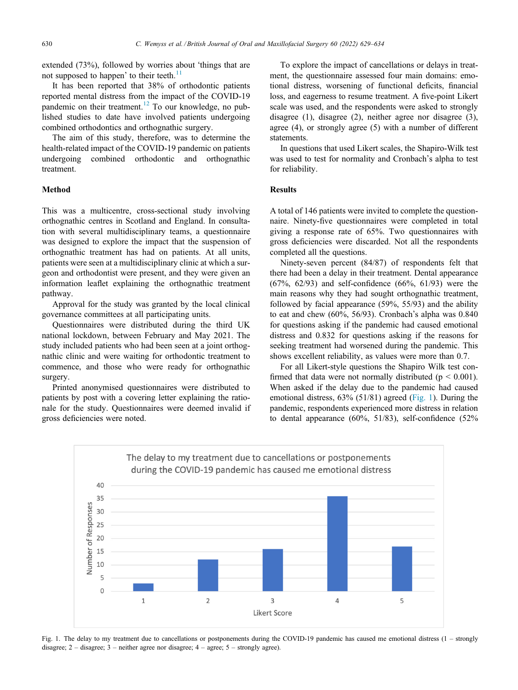extended (73%), followed by worries about 'things that are not supposed to happen' to their teeth.<sup>[11](#page-5-0)</sup>

It has been reported that 38% of orthodontic patients reported mental distress from the impact of the COVID-19 pandemic on their treatment.<sup>[12](#page-5-0)</sup> To our knowledge, no published studies to date have involved patients undergoing combined orthodontics and orthognathic surgery.

The aim of this study, therefore, was to determine the health-related impact of the COVID-19 pandemic on patients undergoing combined orthodontic and orthognathic treatment.

### Method

This was a multicentre, cross-sectional study involving orthognathic centres in Scotland and England. In consultation with several multidisciplinary teams, a questionnaire was designed to explore the impact that the suspension of orthognathic treatment has had on patients. At all units, patients were seen at a multidisciplinary clinic at which a surgeon and orthodontist were present, and they were given an information leaflet explaining the orthognathic treatment pathway.

Approval for the study was granted by the local clinical governance committees at all participating units.

Questionnaires were distributed during the third UK national lockdown, between February and May 2021. The study included patients who had been seen at a joint orthognathic clinic and were waiting for orthodontic treatment to commence, and those who were ready for orthognathic surgery.

Printed anonymised questionnaires were distributed to patients by post with a covering letter explaining the rationale for the study. Questionnaires were deemed invalid if gross deficiencies were noted.

To explore the impact of cancellations or delays in treatment, the questionnaire assessed four main domains: emotional distress, worsening of functional deficits, financial loss, and eagerness to resume treatment. A five-point Likert scale was used, and the respondents were asked to strongly disagree (1), disagree (2), neither agree nor disagree (3), agree (4), or strongly agree (5) with a number of different statements.

In questions that used Likert scales, the Shapiro-Wilk test was used to test for normality and Cronbach's alpha to test for reliability.

#### Results

A total of 146 patients were invited to complete the questionnaire. Ninety-five questionnaires were completed in total giving a response rate of 65%. Two questionnaires with gross deficiencies were discarded. Not all the respondents completed all the questions.

Ninety-seven percent (84/87) of respondents felt that there had been a delay in their treatment. Dental appearance (67%, 62/93) and self-confidence (66%, 61/93) were the main reasons why they had sought orthognathic treatment, followed by facial appearance (59%, 55/93) and the ability to eat and chew (60%, 56/93). Cronbach's alpha was 0.840 for questions asking if the pandemic had caused emotional distress and 0.832 for questions asking if the reasons for seeking treatment had worsened during the pandemic. This shows excellent reliability, as values were more than 0.7.

For all Likert-style questions the Shapiro Wilk test confirmed that data were not normally distributed ( $p < 0.001$ ). When asked if the delay due to the pandemic had caused emotional distress, 63% (51/81) agreed (Fig. 1). During the pandemic, respondents experienced more distress in relation to dental appearance (60%, 51/83), self-confidence (52%



Fig. 1. The delay to my treatment due to cancellations or postponements during the COVID-19 pandemic has caused me emotional distress (1 – strongly disagree; 2 – disagree; 3 – neither agree nor disagree; 4 – agree; 5 – strongly agree).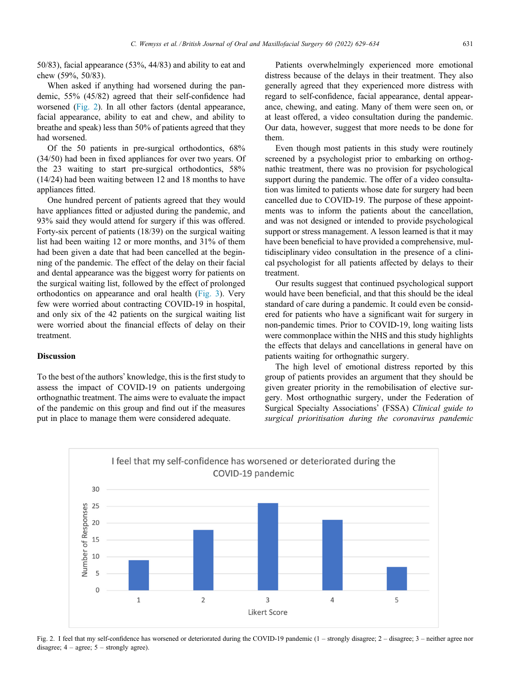50/83), facial appearance (53%, 44/83) and ability to eat and chew (59%, 50/83).

When asked if anything had worsened during the pandemic, 55% (45/82) agreed that their self-confidence had worsened (Fig. 2). In all other factors (dental appearance, facial appearance, ability to eat and chew, and ability to breathe and speak) less than 50% of patients agreed that they had worsened.

Of the 50 patients in pre-surgical orthodontics, 68% (34/50) had been in fixed appliances for over two years. Of the 23 waiting to start pre-surgical orthodontics, 58% (14/24) had been waiting between 12 and 18 months to have appliances fitted.

One hundred percent of patients agreed that they would have appliances fitted or adjusted during the pandemic, and 93% said they would attend for surgery if this was offered. Forty-six percent of patients (18/39) on the surgical waiting list had been waiting 12 or more months, and 31% of them had been given a date that had been cancelled at the beginning of the pandemic. The effect of the delay on their facial and dental appearance was the biggest worry for patients on the surgical waiting list, followed by the effect of prolonged orthodontics on appearance and oral health ([Fig. 3\)](#page-3-0). Very few were worried about contracting COVID-19 in hospital, and only six of the 42 patients on the surgical waiting list were worried about the financial effects of delay on their treatment.

#### Discussion

To the best of the authors' knowledge, this is the first study to assess the impact of COVID-19 on patients undergoing orthognathic treatment. The aims were to evaluate the impact of the pandemic on this group and find out if the measures put in place to manage them were considered adequate.

Patients overwhelmingly experienced more emotional distress because of the delays in their treatment. They also generally agreed that they experienced more distress with regard to self-confidence, facial appearance, dental appearance, chewing, and eating. Many of them were seen on, or at least offered, a video consultation during the pandemic. Our data, however, suggest that more needs to be done for them.

Even though most patients in this study were routinely screened by a psychologist prior to embarking on orthognathic treatment, there was no provision for psychological support during the pandemic. The offer of a video consultation was limited to patients whose date for surgery had been cancelled due to COVID-19. The purpose of these appointments was to inform the patients about the cancellation, and was not designed or intended to provide psychological support or stress management. A lesson learned is that it may have been beneficial to have provided a comprehensive, multidisciplinary video consultation in the presence of a clinical psychologist for all patients affected by delays to their treatment.

Our results suggest that continued psychological support would have been beneficial, and that this should be the ideal standard of care during a pandemic. It could even be considered for patients who have a significant wait for surgery in non-pandemic times. Prior to COVID-19, long waiting lists were commonplace within the NHS and this study highlights the effects that delays and cancellations in general have on patients waiting for orthognathic surgery.

The high level of emotional distress reported by this group of patients provides an argument that they should be given greater priority in the remobilisation of elective surgery. Most orthognathic surgery, under the Federation of Surgical Specialty Associations' (FSSA) Clinical guide to surgical prioritisation during the coronavirus pandemic



Fig. 2. I feel that my self-confidence has worsened or deteriorated during the COVID-19 pandemic (1 – strongly disagree; 2 – disagree; 3 – neither agree nor disagree;  $4 - \text{agree}$ ;  $5 - \text{strongly agree}$ ).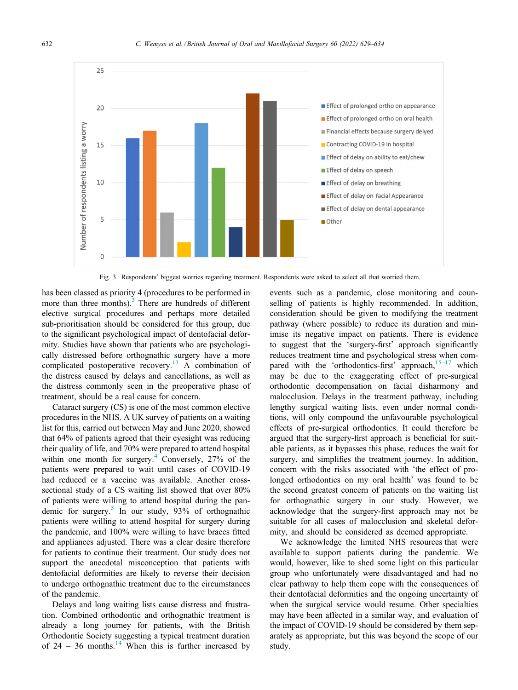<span id="page-3-0"></span>

Fig. 3. Respondents' biggest worries regarding treatment. Respondents were asked to select all that worried them.

has been classed as priority 4 (procedures to be performed in more than three months).<sup>[3](#page-5-0)</sup> There are hundreds of different elective surgical procedures and perhaps more detailed sub-prioritisation should be considered for this group, due to the significant psychological impact of dentofacial deformity. Studies have shown that patients who are psychologically distressed before orthognathic surgery have a more complicated postoperative recovery.<sup>[13](#page-5-0)</sup> A combination of the distress caused by delays and cancellations, as well as the distress commonly seen in the preoperative phase of treatment, should be a real cause for concern.

Cataract surgery (CS) is one of the most common elective procedures in the NHS. A UK survey of patients on a waiting list for this, carried out between May and June 2020, showed that 64% of patients agreed that their eyesight was reducing their quality of life, and 70% were prepared to attend hospital within one month for surgery. $4$  Conversely, 27% of the patients were prepared to wait until cases of COVID-19 had reduced or a vaccine was available. Another crosssectional study of a CS waiting list showed that over 80% of patients were willing to attend hospital during the pan-demic for surgery.<sup>[5](#page-5-0)</sup> In our study,  $93\%$  of orthognathic patients were willing to attend hospital for surgery during the pandemic, and 100% were willing to have braces fitted and appliances adjusted. There was a clear desire therefore for patients to continue their treatment. Our study does not support the anecdotal misconception that patients with dentofacial deformities are likely to reverse their decision to undergo orthognathic treatment due to the circumstances of the pandemic.

Delays and long waiting lists cause distress and frustration. Combined orthodontic and orthognathic treatment is already a long journey for patients, with the British Orthodontic Society suggesting a typical treatment duration of  $24 - 36$  months.<sup>[14](#page-5-0)</sup> When this is further increased by events such as a pandemic, close monitoring and counselling of patients is highly recommended. In addition, consideration should be given to modifying the treatment pathway (where possible) to reduce its duration and minimise its negative impact on patients. There is evidence to suggest that the 'surgery-first' approach significantly reduces treatment time and psychological stress when compared with the 'orthodontics-first' approach, $15-17$  $15-17$  which may be due to the exaggerating effect of pre-surgical orthodontic decompensation on facial disharmony and malocclusion. Delays in the treatment pathway, including lengthy surgical waiting lists, even under normal conditions, will only compound the unfavourable psychological effects of pre-surgical orthodontics. It could therefore be argued that the surgery-first approach is beneficial for suitable patients, as it bypasses this phase, reduces the wait for surgery, and simplifies the treatment journey. In addition, concern with the risks associated with 'the effect of prolonged orthodontics on my oral health' was found to be the second greatest concern of patients on the waiting list for orthognathic surgery in our study. However, we acknowledge that the surgery-first approach may not be suitable for all cases of malocclusion and skeletal deformity, and should be considered as deemed appropriate.

We acknowledge the limited NHS resources that were available to support patients during the pandemic. We would, however, like to shed some light on this particular group who unfortunately were disadvantaged and had no clear pathway to help them cope with the consequences of their dentofacial deformities and the ongoing uncertainty of when the surgical service would resume. Other specialties may have been affected in a similar way, and evaluation of the impact of COVID-19 should be considered by them separately as appropriate, but this was beyond the scope of our study.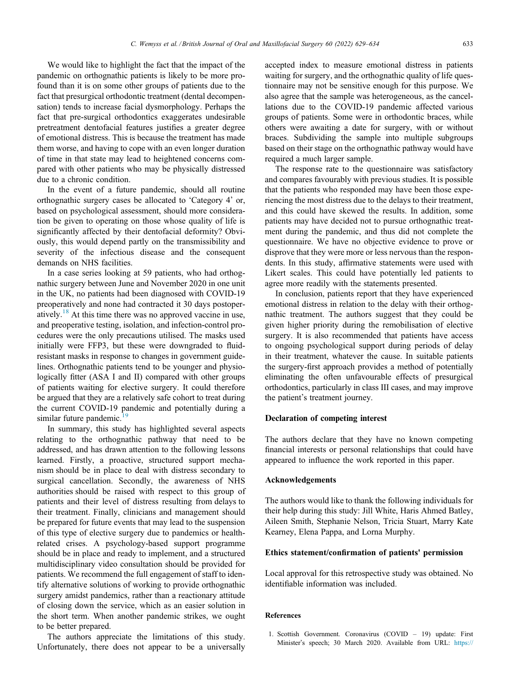<span id="page-4-0"></span>We would like to highlight the fact that the impact of the pandemic on orthognathic patients is likely to be more profound than it is on some other groups of patients due to the fact that presurgical orthodontic treatment (dental decompensation) tends to increase facial dysmorphology. Perhaps the fact that pre-surgical orthodontics exaggerates undesirable pretreatment dentofacial features justifies a greater degree of emotional distress. This is because the treatment has made them worse, and having to cope with an even longer duration of time in that state may lead to heightened concerns compared with other patients who may be physically distressed due to a chronic condition.

In the event of a future pandemic, should all routine orthognathic surgery cases be allocated to 'Category 4' or, based on psychological assessment, should more consideration be given to operating on those whose quality of life is significantly affected by their dentofacial deformity? Obviously, this would depend partly on the transmissibility and severity of the infectious disease and the consequent demands on NHS facilities.

In a case series looking at 59 patients, who had orthognathic surgery between June and November 2020 in one unit in the UK, no patients had been diagnosed with COVID-19 preoperatively and none had contracted it 30 days postoper-atively.<sup>[18](#page-5-0)</sup> At this time there was no approved vaccine in use, and preoperative testing, isolation, and infection-control procedures were the only precautions utilised. The masks used initially were FFP3, but these were downgraded to fluidresistant masks in response to changes in government guidelines. Orthognathic patients tend to be younger and physiologically fitter (ASA I and II) compared with other groups of patients waiting for elective surgery. It could therefore be argued that they are a relatively safe cohort to treat during the current COVID-19 pandemic and potentially during a similar future pandemic. $19$ 

In summary, this study has highlighted several aspects relating to the orthognathic pathway that need to be addressed, and has drawn attention to the following lessons learned. Firstly, a proactive, structured support mechanism should be in place to deal with distress secondary to surgical cancellation. Secondly, the awareness of NHS authorities should be raised with respect to this group of patients and their level of distress resulting from delays to their treatment. Finally, clinicians and management should be prepared for future events that may lead to the suspension of this type of elective surgery due to pandemics or healthrelated crises. A psychology-based support programme should be in place and ready to implement, and a structured multidisciplinary video consultation should be provided for patients. We recommend the full engagement of staff to identify alternative solutions of working to provide orthognathic surgery amidst pandemics, rather than a reactionary attitude of closing down the service, which as an easier solution in the short term. When another pandemic strikes, we ought to be better prepared.

The authors appreciate the limitations of this study. Unfortunately, there does not appear to be a universally accepted index to measure emotional distress in patients waiting for surgery, and the orthognathic quality of life questionnaire may not be sensitive enough for this purpose. We also agree that the sample was heterogeneous, as the cancellations due to the COVID-19 pandemic affected various groups of patients. Some were in orthodontic braces, while others were awaiting a date for surgery, with or without braces. Subdividing the sample into multiple subgroups based on their stage on the orthognathic pathway would have required a much larger sample.

The response rate to the questionnaire was satisfactory and compares favourably with previous studies. It is possible that the patients who responded may have been those experiencing the most distress due to the delays to their treatment, and this could have skewed the results. In addition, some patients may have decided not to pursue orthognathic treatment during the pandemic, and thus did not complete the questionnaire. We have no objective evidence to prove or disprove that they were more or less nervous than the respondents. In this study, affirmative statements were used with Likert scales. This could have potentially led patients to agree more readily with the statements presented.

In conclusion, patients report that they have experienced emotional distress in relation to the delay with their orthognathic treatment. The authors suggest that they could be given higher priority during the remobilisation of elective surgery. It is also recommended that patients have access to ongoing psychological support during periods of delay in their treatment, whatever the cause. In suitable patients the surgery-first approach provides a method of potentially eliminating the often unfavourable effects of presurgical orthodontics, particularly in class III cases, and may improve the patient's treatment journey.

## $\mathbf{P}^{\text{max}}$  of computation of  $\mathbf{P}^{\text{max}}$

The authors declare that they have no known competing financial interests or personal relationships that could have appeared to influence the work reported in this paper.

#### Acknowledgements

The authors would like to thank the following individuals for their help during this study: Jill White, Haris Ahmed Batley, Aileen Smith, Stephanie Nelson, Tricia Stuart, Marry Kate Kearney, Elena Pappa, and Lorna Murphy.

#### Ethics statement/confirmation of patients' permission

Local approval for this retrospective study was obtained. No identifiable information was included.

#### References

1. Scottish Government. Coronavirus (COVID – 19) update: First Minister's speech; 30 March 2020. Available from URL: [https://](https://www.gov.scot/publications/first-minister-covid-19-update-6/)